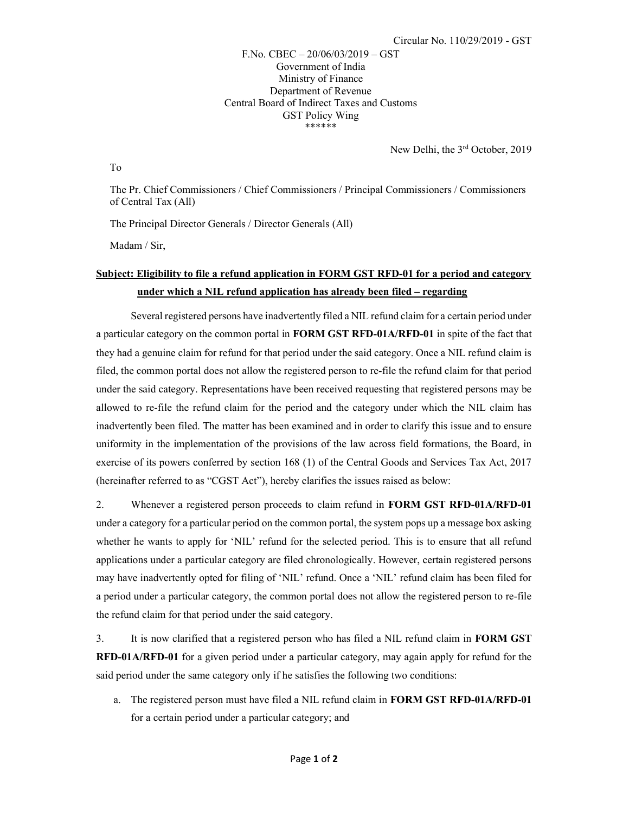F.No. CBEC – 20/06/03/2019 – GST Government of India Ministry of Finance Department of Revenue Central Board of Indirect Taxes and Customs GST Policy Wing \*\*\*\*\*\*

New Delhi, the 3rd October, 2019

To

The Pr. Chief Commissioners / Chief Commissioners / Principal Commissioners / Commissioners of Central Tax (All)

The Principal Director Generals / Director Generals (All)

Madam / Sir,

## Subject: Eligibility to file a refund application in FORM GST RFD-01 for a period and category under which a NIL refund application has already been filed – regarding

Several registered persons have inadvertently filed a NIL refund claim for a certain period under a particular category on the common portal in FORM GST RFD-01A/RFD-01 in spite of the fact that they had a genuine claim for refund for that period under the said category. Once a NIL refund claim is filed, the common portal does not allow the registered person to re-file the refund claim for that period under the said category. Representations have been received requesting that registered persons may be allowed to re-file the refund claim for the period and the category under which the NIL claim has inadvertently been filed. The matter has been examined and in order to clarify this issue and to ensure uniformity in the implementation of the provisions of the law across field formations, the Board, in exercise of its powers conferred by section 168 (1) of the Central Goods and Services Tax Act, 2017 (hereinafter referred to as "CGST Act"), hereby clarifies the issues raised as below:

2. Whenever a registered person proceeds to claim refund in FORM GST RFD-01A/RFD-01 under a category for a particular period on the common portal, the system pops up a message box asking whether he wants to apply for 'NIL' refund for the selected period. This is to ensure that all refund applications under a particular category are filed chronologically. However, certain registered persons may have inadvertently opted for filing of 'NIL' refund. Once a 'NIL' refund claim has been filed for a period under a particular category, the common portal does not allow the registered person to re-file the refund claim for that period under the said category.

3. It is now clarified that a registered person who has filed a NIL refund claim in FORM GST RFD-01A/RFD-01 for a given period under a particular category, may again apply for refund for the said period under the same category only if he satisfies the following two conditions:

a. The registered person must have filed a NIL refund claim in FORM GST RFD-01A/RFD-01 for a certain period under a particular category; and